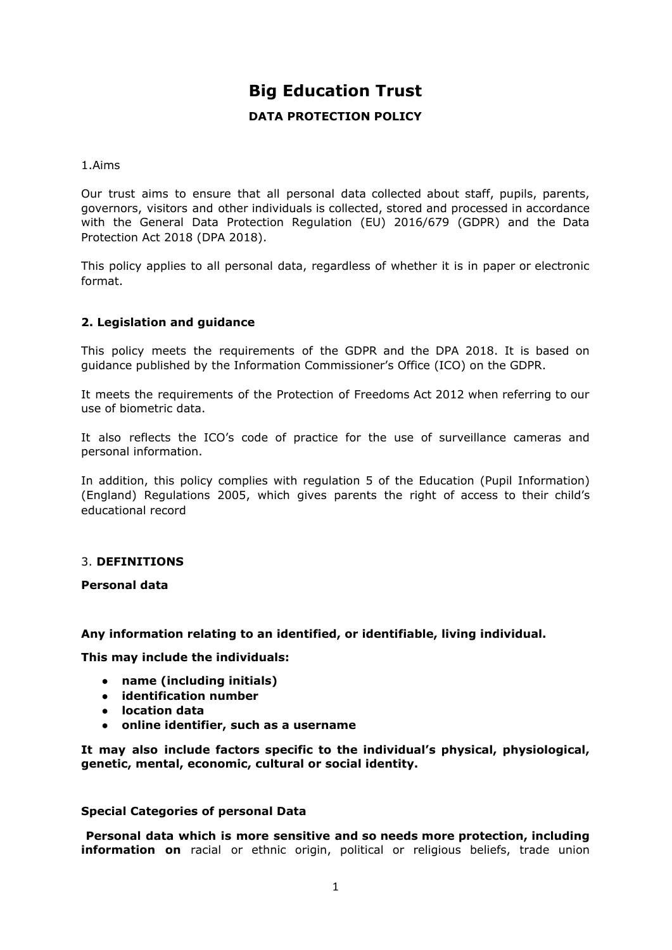# **Big Education Trust**

# **DATA PROTECTION POLICY**

1.Aims

Our trust aims to ensure that all personal data collected about staff, pupils, parents, governors, visitors and other individuals is collected, stored and processed in accordance with the General Data Protection [Regulation](https://eur-lex.europa.eu/legal-content/EN/TXT/?qid=1528874672298&uri=CELEX:02016R0679-20160504) (EU) 2016/679 (GDPR) and the [Data](http://www.legislation.gov.uk/ukpga/2018/12/contents/enacted) [Protection](http://www.legislation.gov.uk/ukpga/2018/12/contents/enacted) Act 2018 (DPA 2018).

This policy applies to all personal data, regardless of whether it is in paper or electronic format.

# **2. Legislation and guidance**

This policy meets the requirements of the GDPR and the DPA 2018. It is based on guidance published by the Information Commissioner's Office (ICO) on the [GDPR.](https://ico.org.uk/for-organisations/guide-to-the-general-data-protection-regulation-gdpr/)

It meets the requirements of the [Protection](https://www.legislation.gov.uk/ukpga/2012/9/part/1/chapter/2) of Freedoms Act 2012 when referring to our use of biometric data.

It also reflects the ICO's code of [practice](https://ico.org.uk/media/for-organisations/documents/1542/cctv-code-of-practice.pdf) for the use of surveillance cameras and personal information.

In addition, this policy complies with regulation 5 of the Education (Pupil [Information\)](http://www.legislation.gov.uk/uksi/2005/1437/regulation/5/made) (England) [Regulations](http://www.legislation.gov.uk/uksi/2005/1437/regulation/5/made) 2005, which gives parents the right of access to their child's educational record

# 3. **DEFINITIONS**

**Personal data**

#### **Any information relating to an identified, or identifiable, living individual.**

**This may include the individuals:**

- **name (including initials)**
- **identification number**
- **location data**
- **online identifier, such as a username**

**It may also include factors specific to the individual's physical, physiological, genetic, mental, economic, cultural or social identity.**

#### **Special Categories of personal Data**

**Personal data which is more sensitive and so needs more protection, including information on** racial or ethnic origin, political or religious beliefs, trade union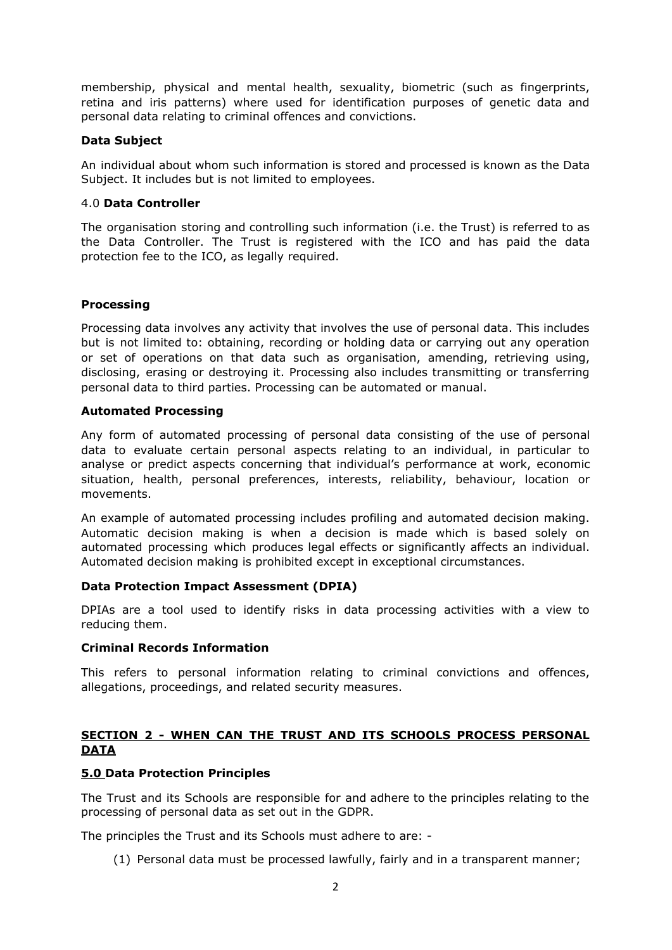membership, physical and mental health, sexuality, biometric (such as fingerprints, retina and iris patterns) where used for identification purposes of genetic data and personal data relating to criminal offences and convictions.

## **Data Subject**

An individual about whom such information is stored and processed is known as the Data Subject. It includes but is not limited to employees.

## 4.0 **Data Controller**

The organisation storing and controlling such information (i.e. the Trust) is referred to as the Data Controller. The Trust is registered with the ICO and has paid the data protection fee to the ICO, as legally required.

# **Processing**

Processing data involves any activity that involves the use of personal data. This includes but is not limited to: obtaining, recording or holding data or carrying out any operation or set of operations on that data such as organisation, amending, retrieving using, disclosing, erasing or destroying it. Processing also includes transmitting or transferring personal data to third parties. Processing can be automated or manual.

## **Automated Processing**

Any form of automated processing of personal data consisting of the use of personal data to evaluate certain personal aspects relating to an individual, in particular to analyse or predict aspects concerning that individual's performance at work, economic situation, health, personal preferences, interests, reliability, behaviour, location or movements.

An example of automated processing includes profiling and automated decision making. Automatic decision making is when a decision is made which is based solely on automated processing which produces legal effects or significantly affects an individual. Automated decision making is prohibited except in exceptional circumstances.

# **Data Protection Impact Assessment (DPIA)**

DPIAs are a tool used to identify risks in data processing activities with a view to reducing them.

#### **Criminal Records Information**

This refers to personal information relating to criminal convictions and offences, allegations, proceedings, and related security measures.

# **SECTION 2 - WHEN CAN THE TRUST AND ITS SCHOOLS PROCESS PERSONAL DATA**

# **5.0 Data Protection Principles**

The Trust and its Schools are responsible for and adhere to the principles relating to the processing of personal data as set out in the GDPR.

The principles the Trust and its Schools must adhere to are: -

(1) Personal data must be processed lawfully, fairly and in a transparent manner;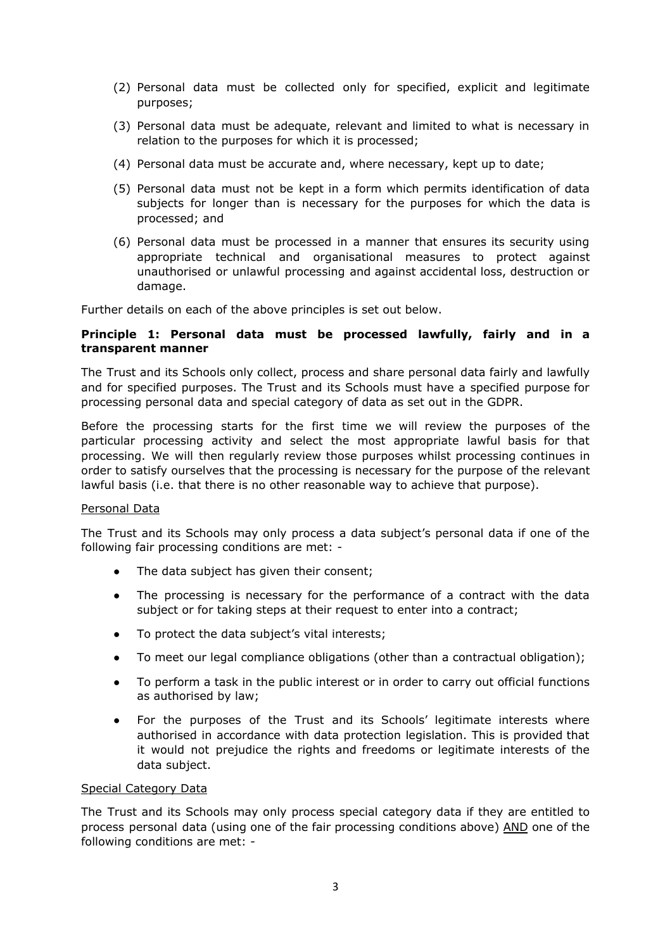- (2) Personal data must be collected only for specified, explicit and legitimate purposes;
- (3) Personal data must be adequate, relevant and limited to what is necessary in relation to the purposes for which it is processed;
- (4) Personal data must be accurate and, where necessary, kept up to date;
- (5) Personal data must not be kept in a form which permits identification of data subjects for longer than is necessary for the purposes for which the data is processed; and
- (6) Personal data must be processed in a manner that ensures its security using appropriate technical and organisational measures to protect against unauthorised or unlawful processing and against accidental loss, destruction or damage.

Further details on each of the above principles is set out below.

## **Principle 1: Personal data must be processed lawfully, fairly and in a transparent manner**

The Trust and its Schools only collect, process and share personal data fairly and lawfully and for specified purposes. The Trust and its Schools must have a specified purpose for processing personal data and special category of data as set out in the GDPR.

Before the processing starts for the first time we will review the purposes of the particular processing activity and select the most appropriate lawful basis for that processing. We will then regularly review those purposes whilst processing continues in order to satisfy ourselves that the processing is necessary for the purpose of the relevant lawful basis (i.e. that there is no other reasonable way to achieve that purpose).

#### Personal Data

The Trust and its Schools may only process a data subject's personal data if one of the following fair processing conditions are met: -

- The data subject has given their consent;
- The processing is necessary for the performance of a contract with the data subject or for taking steps at their request to enter into a contract;
- To protect the data subject's vital interests;
- To meet our legal compliance obligations (other than a contractual obligation);
- To perform a task in the public interest or in order to carry out official functions as authorised by law;
- For the purposes of the Trust and its Schools' legitimate interests where authorised in accordance with data protection legislation. This is provided that it would not prejudice the rights and freedoms or legitimate interests of the data subject.

#### Special Category Data

The Trust and its Schools may only process special category data if they are entitled to process personal data (using one of the fair processing conditions above) AND one of the following conditions are met: -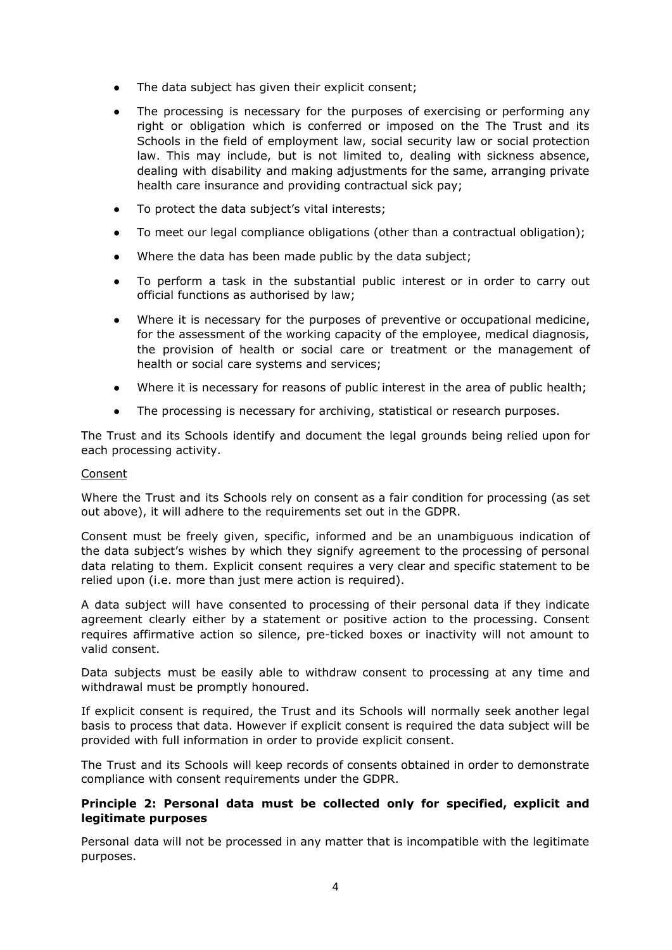- The data subject has given their explicit consent;
- The processing is necessary for the purposes of exercising or performing any right or obligation which is conferred or imposed on the The Trust and its Schools in the field of employment law, social security law or social protection law. This may include, but is not limited to, dealing with sickness absence, dealing with disability and making adjustments for the same, arranging private health care insurance and providing contractual sick pay;
- To protect the data subject's vital interests;
- To meet our legal compliance obligations (other than a contractual obligation);
- Where the data has been made public by the data subject;
- To perform a task in the substantial public interest or in order to carry out official functions as authorised by law;
- Where it is necessary for the purposes of preventive or occupational medicine, for the assessment of the working capacity of the employee, medical diagnosis, the provision of health or social care or treatment or the management of health or social care systems and services;
- Where it is necessary for reasons of public interest in the area of public health;
- The processing is necessary for archiving, statistical or research purposes.

The Trust and its Schools identify and document the legal grounds being relied upon for each processing activity.

## Consent

Where the Trust and its Schools rely on consent as a fair condition for processing (as set out above), it will adhere to the requirements set out in the GDPR.

Consent must be freely given, specific, informed and be an unambiguous indication of the data subject's wishes by which they signify agreement to the processing of personal data relating to them. Explicit consent requires a very clear and specific statement to be relied upon (i.e. more than just mere action is required).

A data subject will have consented to processing of their personal data if they indicate agreement clearly either by a statement or positive action to the processing. Consent requires affirmative action so silence, pre-ticked boxes or inactivity will not amount to valid consent.

Data subjects must be easily able to withdraw consent to processing at any time and withdrawal must be promptly honoured.

If explicit consent is required, the Trust and its Schools will normally seek another legal basis to process that data. However if explicit consent is required the data subject will be provided with full information in order to provide explicit consent.

The Trust and its Schools will keep records of consents obtained in order to demonstrate compliance with consent requirements under the GDPR.

## **Principle 2: Personal data must be collected only for specified, explicit and legitimate purposes**

Personal data will not be processed in any matter that is incompatible with the legitimate purposes.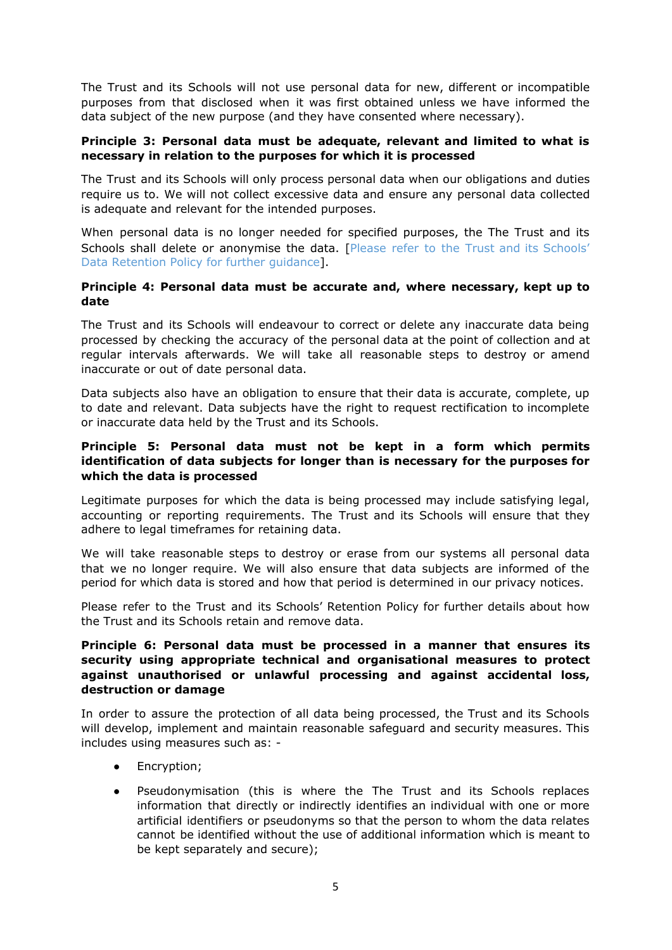The Trust and its Schools will not use personal data for new, different or incompatible purposes from that disclosed when it was first obtained unless we have informed the data subject of the new purpose (and they have consented where necessary).

## **Principle 3: Personal data must be adequate, relevant and limited to what is necessary in relation to the purposes for which it is processed**

The Trust and its Schools will only process personal data when our obligations and duties require us to. We will not collect excessive data and ensure any personal data collected is adequate and relevant for the intended purposes.

When personal data is no longer needed for specified purposes, the The Trust and its Schools shall delete or anonymise the data. [Please refer to the Trust and its Schools' Data Retention Policy for further guidance].

## **Principle 4: Personal data must be accurate and, where necessary, kept up to date**

The Trust and its Schools will endeavour to correct or delete any inaccurate data being processed by checking the accuracy of the personal data at the point of collection and at regular intervals afterwards. We will take all reasonable steps to destroy or amend inaccurate or out of date personal data.

Data subjects also have an obligation to ensure that their data is accurate, complete, up to date and relevant. Data subjects have the right to request rectification to incomplete or inaccurate data held by the Trust and its Schools.

## **Principle 5: Personal data must not be kept in a form which permits identification of data subjects for longer than is necessary for the purposes for which the data is processed**

Legitimate purposes for which the data is being processed may include satisfying legal, accounting or reporting requirements. The Trust and its Schools will ensure that they adhere to legal timeframes for retaining data.

We will take reasonable steps to destroy or erase from our systems all personal data that we no longer require. We will also ensure that data subjects are informed of the period for which data is stored and how that period is determined in our privacy notices.

Please refer to the Trust and its Schools' Retention Policy for further details about how the Trust and its Schools retain and remove data.

## **Principle 6: Personal data must be processed in a manner that ensures its security using appropriate technical and organisational measures to protect against unauthorised or unlawful processing and against accidental loss, destruction or damage**

In order to assure the protection of all data being processed, the Trust and its Schools will develop, implement and maintain reasonable safeguard and security measures. This includes using measures such as: -

- Encryption;
- Pseudonymisation (this is where the The Trust and its Schools replaces information that directly or indirectly identifies an individual with one or more artificial identifiers or pseudonyms so that the person to whom the data relates cannot be identified without the use of additional information which is meant to be kept separately and secure);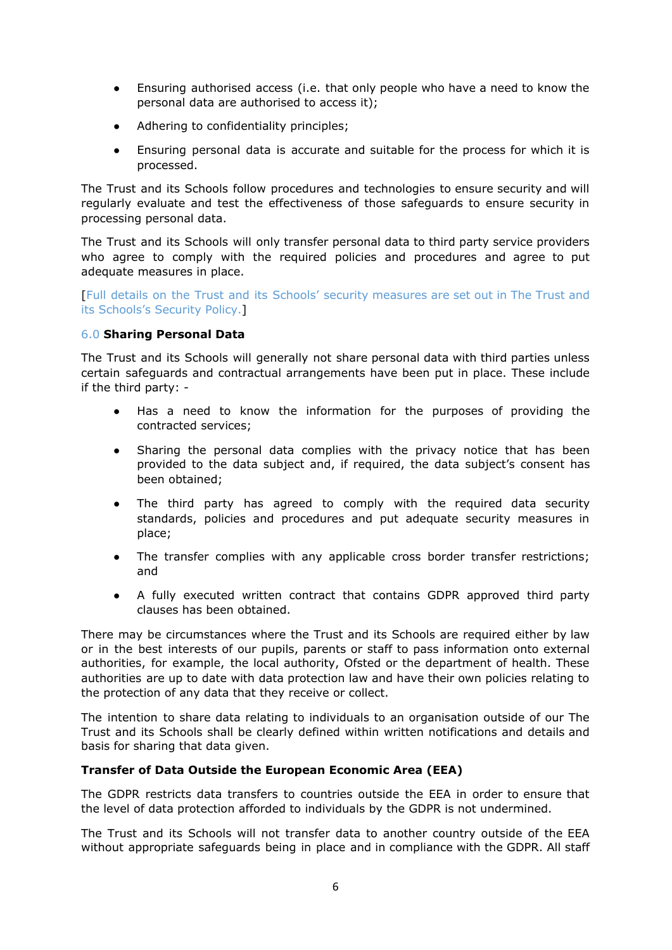- Ensuring authorised access (i.e. that only people who have a need to know the personal data are authorised to access it);
- Adhering to confidentiality principles;
- Ensuring personal data is accurate and suitable for the process for which it is processed.

The Trust and its Schools follow procedures and technologies to ensure security and will regularly evaluate and test the effectiveness of those safeguards to ensure security in processing personal data.

The Trust and its Schools will only transfer personal data to third party service providers who agree to comply with the required policies and procedures and agree to put adequate measures in place.

[Full details on the Trust and its Schools' security measures are set out in The Trust and its Schools's Security Policy.]

# 6.0 **Sharing Personal Data**

The Trust and its Schools will generally not share personal data with third parties unless certain safeguards and contractual arrangements have been put in place. These include if the third party: -

- Has a need to know the information for the purposes of providing the contracted services;
- Sharing the personal data complies with the privacy notice that has been provided to the data subject and, if required, the data subject's consent has been obtained;
- The third party has agreed to comply with the required data security standards, policies and procedures and put adequate security measures in place;
- The transfer complies with any applicable cross border transfer restrictions; and
- A fully executed written contract that contains GDPR approved third party clauses has been obtained.

There may be circumstances where the Trust and its Schools are required either by law or in the best interests of our pupils, parents or staff to pass information onto external authorities, for example, the local authority, Ofsted or the department of health. These authorities are up to date with data protection law and have their own policies relating to the protection of any data that they receive or collect.

The intention to share data relating to individuals to an organisation outside of our The Trust and its Schools shall be clearly defined within written notifications and details and basis for sharing that data given.

# **Transfer of Data Outside the European Economic Area (EEA)**

The GDPR restricts data transfers to countries outside the EEA in order to ensure that the level of data protection afforded to individuals by the GDPR is not undermined.

The Trust and its Schools will not transfer data to another country outside of the EEA without appropriate safeguards being in place and in compliance with the GDPR. All staff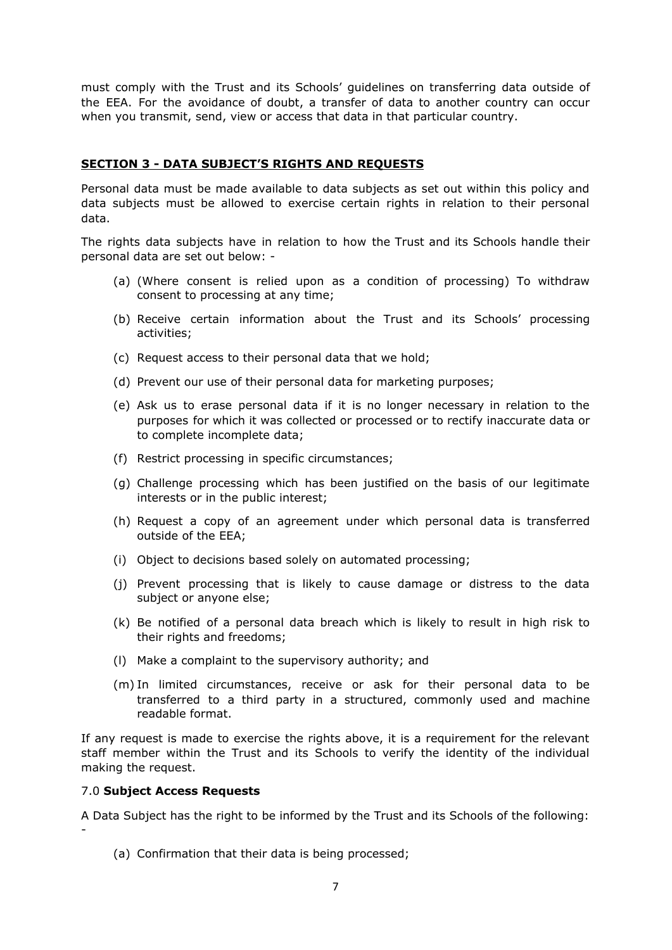must comply with the Trust and its Schools' guidelines on transferring data outside of the EEA. For the avoidance of doubt, a transfer of data to another country can occur when you transmit, send, view or access that data in that particular country.

# **SECTION 3 - DATA SUBJECT'S RIGHTS AND REQUESTS**

Personal data must be made available to data subjects as set out within this policy and data subjects must be allowed to exercise certain rights in relation to their personal data.

The rights data subjects have in relation to how the Trust and its Schools handle their personal data are set out below: -

- (a) (Where consent is relied upon as a condition of processing) To withdraw consent to processing at any time;
- (b) Receive certain information about the Trust and its Schools' processing activities;
- (c) Request access to their personal data that we hold;
- (d) Prevent our use of their personal data for marketing purposes;
- (e) Ask us to erase personal data if it is no longer necessary in relation to the purposes for which it was collected or processed or to rectify inaccurate data or to complete incomplete data;
- (f) Restrict processing in specific circumstances;
- (g) Challenge processing which has been justified on the basis of our legitimate interests or in the public interest;
- (h) Request a copy of an agreement under which personal data is transferred outside of the EEA;
- (i) Object to decisions based solely on automated processing;
- (j) Prevent processing that is likely to cause damage or distress to the data subject or anyone else;
- (k) Be notified of a personal data breach which is likely to result in high risk to their rights and freedoms;
- (l) Make a complaint to the supervisory authority; and
- (m) In limited circumstances, receive or ask for their personal data to be transferred to a third party in a structured, commonly used and machine readable format.

If any request is made to exercise the rights above, it is a requirement for the relevant staff member within the Trust and its Schools to verify the identity of the individual making the request.

#### 7.0 **Subject Access Requests**

A Data Subject has the right to be informed by the Trust and its Schools of the following: -

(a) Confirmation that their data is being processed;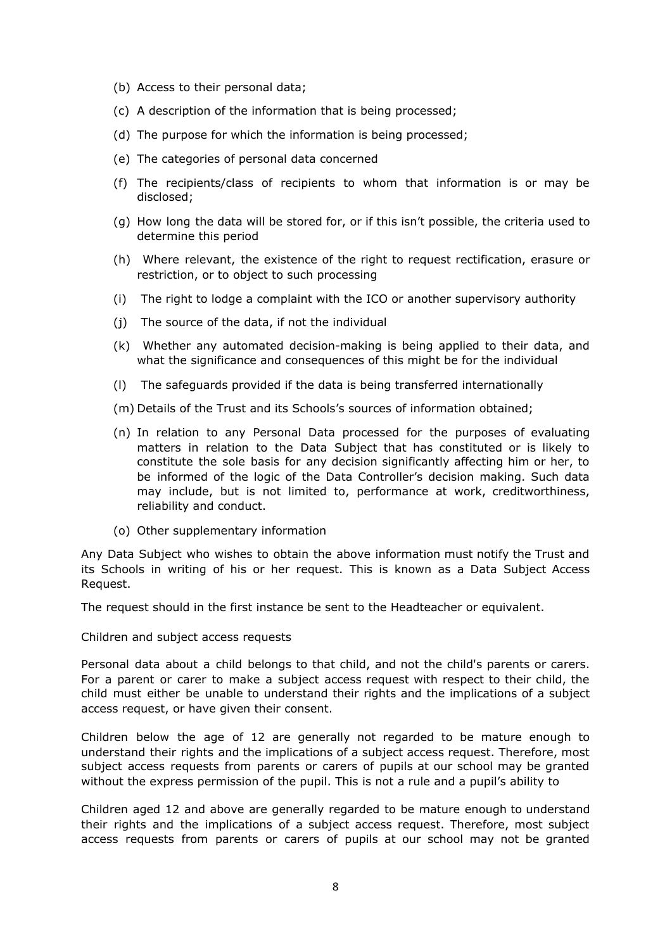- (b) Access to their personal data;
- (c) A description of the information that is being processed;
- (d) The purpose for which the information is being processed;
- (e) The categories of personal data concerned
- (f) The recipients/class of recipients to whom that information is or may be disclosed;
- (g) How long the data will be stored for, or if this isn't possible, the criteria used to determine this period
- (h) Where relevant, the existence of the right to request rectification, erasure or restriction, or to object to such processing
- (i) The right to lodge a complaint with the ICO or another supervisory authority
- (j) The source of the data, if not the individual
- (k) Whether any automated decision-making is being applied to their data, and what the significance and consequences of this might be for the individual
- (l) The safeguards provided if the data is being transferred internationally
- (m) Details of the Trust and its Schools's sources of information obtained;
- (n) In relation to any Personal Data processed for the purposes of evaluating matters in relation to the Data Subject that has constituted or is likely to constitute the sole basis for any decision significantly affecting him or her, to be informed of the logic of the Data Controller's decision making. Such data may include, but is not limited to, performance at work, creditworthiness, reliability and conduct.
- (o) Other supplementary information

Any Data Subject who wishes to obtain the above information must notify the Trust and its Schools in writing of his or her request. This is known as a Data Subject Access Request.

The request should in the first instance be sent to the Headteacher or equivalent.

Children and subject access requests

Personal data about a child belongs to that child, and not the child's parents or carers. For a parent or carer to make a subject access request with respect to their child, the child must either be unable to understand their rights and the implications of a subject access request, or have given their consent.

Children below the age of 12 are generally not regarded to be mature enough to understand their rights and the implications of a subject access request. Therefore, most subject access requests from parents or carers of pupils at our school may be granted without the express permission of the pupil. This is not a rule and a pupil's ability to

Children aged 12 and above are generally regarded to be mature enough to understand their rights and the implications of a subject access request. Therefore, most subject access requests from parents or carers of pupils at our school may not be granted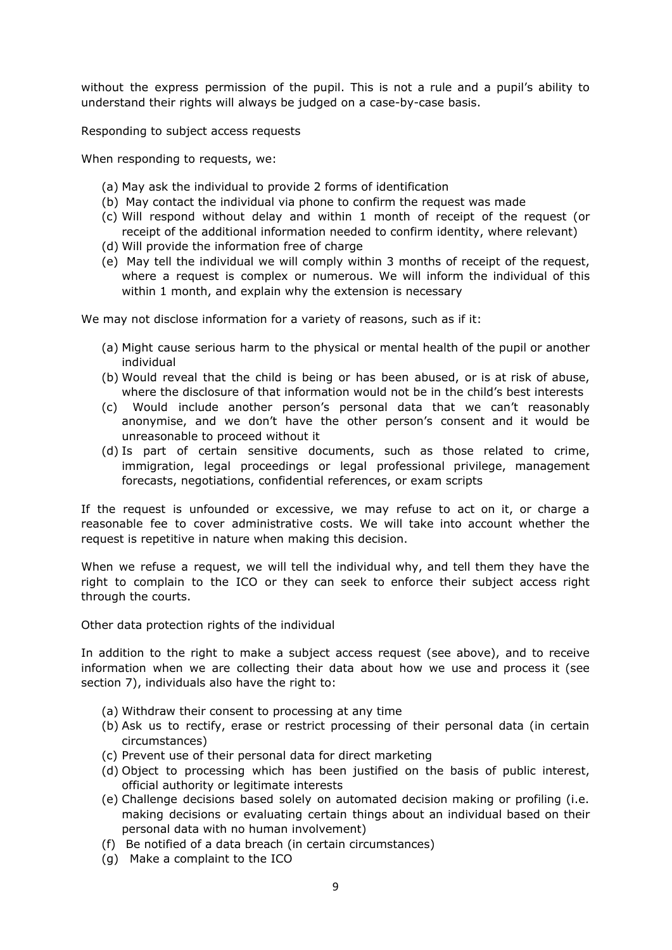without the express permission of the pupil. This is not a rule and a pupil's ability to understand their rights will always be judged on a case-by-case basis.

Responding to subject access requests

When responding to requests, we:

- (a) May ask the individual to provide 2 forms of identification
- (b) May contact the individual via phone to confirm the request was made
- (c) Will respond without delay and within 1 month of receipt of the request (or receipt of the additional information needed to confirm identity, where relevant)
- (d) Will provide the information free of charge
- (e) May tell the individual we will comply within 3 months of receipt of the request, where a request is complex or numerous. We will inform the individual of this within 1 month, and explain why the extension is necessary

We may not disclose information for a variety of reasons, such as if it:

- (a) Might cause serious harm to the physical or mental health of the pupil or another individual
- (b) Would reveal that the child is being or has been abused, or is at risk of abuse, where the disclosure of that information would not be in the child's best interests
- (c) Would include another person's personal data that we can't reasonably anonymise, and we don't have the other person's consent and it would be unreasonable to proceed without it
- (d) Is part of certain sensitive documents, such as those related to crime, immigration, legal proceedings or legal professional privilege, management forecasts, negotiations, confidential references, or exam scripts

If the request is unfounded or excessive, we may refuse to act on it, or charge a reasonable fee to cover administrative costs. We will take into account whether the request is repetitive in nature when making this decision.

When we refuse a request, we will tell the individual why, and tell them they have the right to complain to the ICO or they can seek to enforce their subject access right through the courts.

Other data protection rights of the individual

In addition to the right to make a subject access request (see above), and to receive information when we are collecting their data about how we use and process it (see section 7), individuals also have the right to:

- (a) Withdraw their consent to processing at any time
- (b) Ask us to rectify, erase or restrict processing of their personal data (in certain circumstances)
- (c) Prevent use of their personal data for direct marketing
- (d) Object to processing which has been justified on the basis of public interest, official authority or legitimate interests
- (e) Challenge decisions based solely on automated decision making or profiling (i.e. making decisions or evaluating certain things about an individual based on their personal data with no human involvement)
- (f) Be notified of a data breach (in certain circumstances)
- (g) Make a complaint to the ICO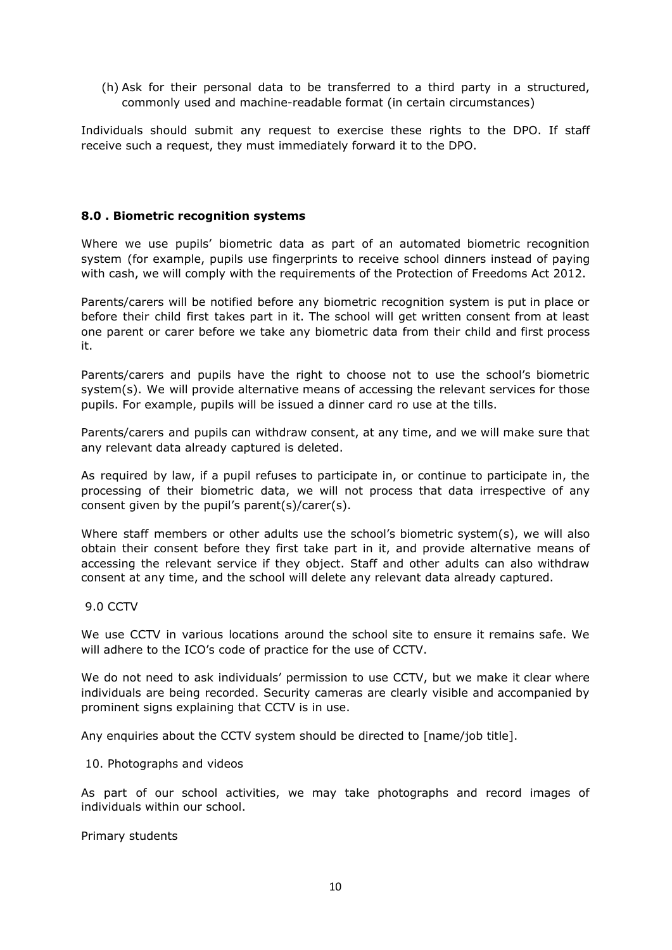(h) Ask for their personal data to be transferred to a third party in a structured, commonly used and machine-readable format (in certain circumstances)

Individuals should submit any request to exercise these rights to the DPO. If staff receive such a request, they must immediately forward it to the DPO.

#### **8.0 . Biometric recognition systems**

Where we use pupils' biometric data as part of an automated biometric recognition system (for example, pupils use fingerprints to receive school dinners instead of paying with cash, we will comply with the requirements of the [Protection](https://www.legislation.gov.uk/ukpga/2012/9/section/26) of Freedoms Act 2012.

Parents/carers will be notified before any biometric recognition system is put in place or before their child first takes part in it. The school will get written consent from at least one parent or carer before we take any biometric data from their child and first process it.

Parents/carers and pupils have the right to choose not to use the school's biometric system(s). We will provide alternative means of accessing the relevant services for those pupils. For example, pupils will be issued a dinner card ro use at the tills.

Parents/carers and pupils can withdraw consent, at any time, and we will make sure that any relevant data already captured is deleted.

As required by law, if a pupil refuses to participate in, or continue to participate in, the processing of their biometric data, we will not process that data irrespective of any consent given by the pupil's parent(s)/carer(s).

Where staff members or other adults use the school's biometric system(s), we will also obtain their consent before they first take part in it, and provide alternative means of accessing the relevant service if they object. Staff and other adults can also withdraw consent at any time, and the school will delete any relevant data already captured.

#### 9.0 CCTV

We use CCTV in various locations around the school site to ensure it remains safe. We will adhere to the ICO's code of [practice](https://ico.org.uk/media/for-organisations/documents/1542/cctv-code-of-practice.pdf) for the use of CCTV.

We do not need to ask individuals' permission to use CCTV, but we make it clear where individuals are being recorded. Security cameras are clearly visible and accompanied by prominent signs explaining that CCTV is in use.

Any enquiries about the CCTV system should be directed to [name/job title].

#### 10. Photographs and videos

As part of our school activities, we may take photographs and record images of individuals within our school.

Primary students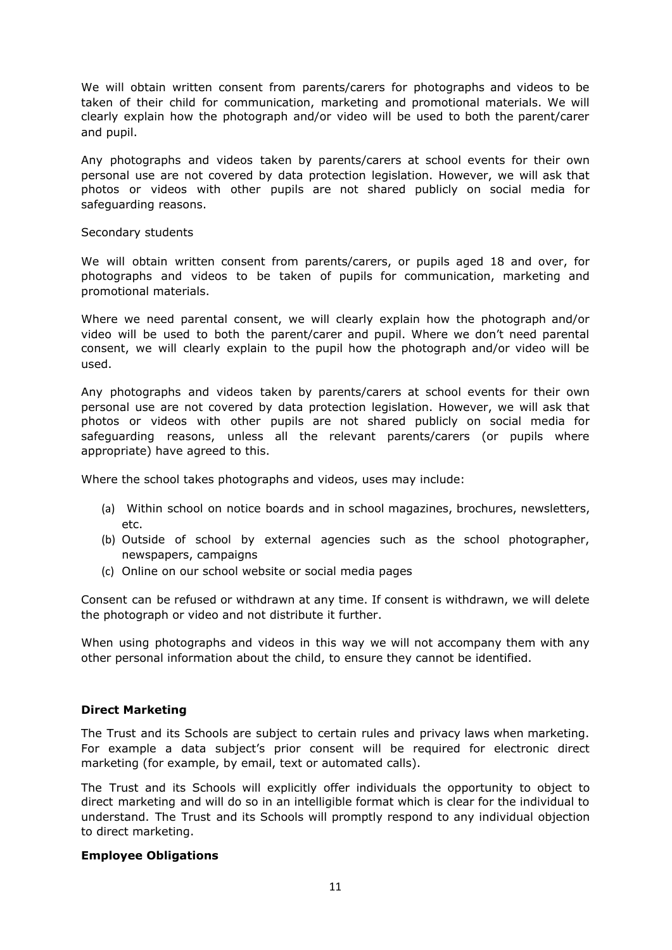We will obtain written consent from parents/carers for photographs and videos to be taken of their child for communication, marketing and promotional materials. We will clearly explain how the photograph and/or video will be used to both the parent/carer and pupil.

Any photographs and videos taken by parents/carers at school events for their own personal use are not covered by data protection legislation. However, we will ask that photos or videos with other pupils are not shared publicly on social media for safeguarding reasons.

#### Secondary students

We will obtain written consent from parents/carers, or pupils aged 18 and over, for photographs and videos to be taken of pupils for communication, marketing and promotional materials.

Where we need parental consent, we will clearly explain how the photograph and/or video will be used to both the parent/carer and pupil. Where we don't need parental consent, we will clearly explain to the pupil how the photograph and/or video will be used.

Any photographs and videos taken by parents/carers at school events for their own personal use are not covered by data protection legislation. However, we will ask that photos or videos with other pupils are not shared publicly on social media for safeguarding reasons, unless all the relevant parents/carers (or pupils where appropriate) have agreed to this.

Where the school takes photographs and videos, uses may include:

- (a) Within school on notice boards and in school magazines, brochures, newsletters, etc.
- (b) Outside of school by external agencies such as the school photographer, newspapers, campaigns
- (c) Online on our school website or social media pages

Consent can be refused or withdrawn at any time. If consent is withdrawn, we will delete the photograph or video and not distribute it further.

When using photographs and videos in this way we will not accompany them with any other personal information about the child, to ensure they cannot be identified.

#### **Direct Marketing**

The Trust and its Schools are subject to certain rules and privacy laws when marketing. For example a data subject's prior consent will be required for electronic direct marketing (for example, by email, text or automated calls).

The Trust and its Schools will explicitly offer individuals the opportunity to object to direct marketing and will do so in an intelligible format which is clear for the individual to understand. The Trust and its Schools will promptly respond to any individual objection to direct marketing.

#### **Employee Obligations**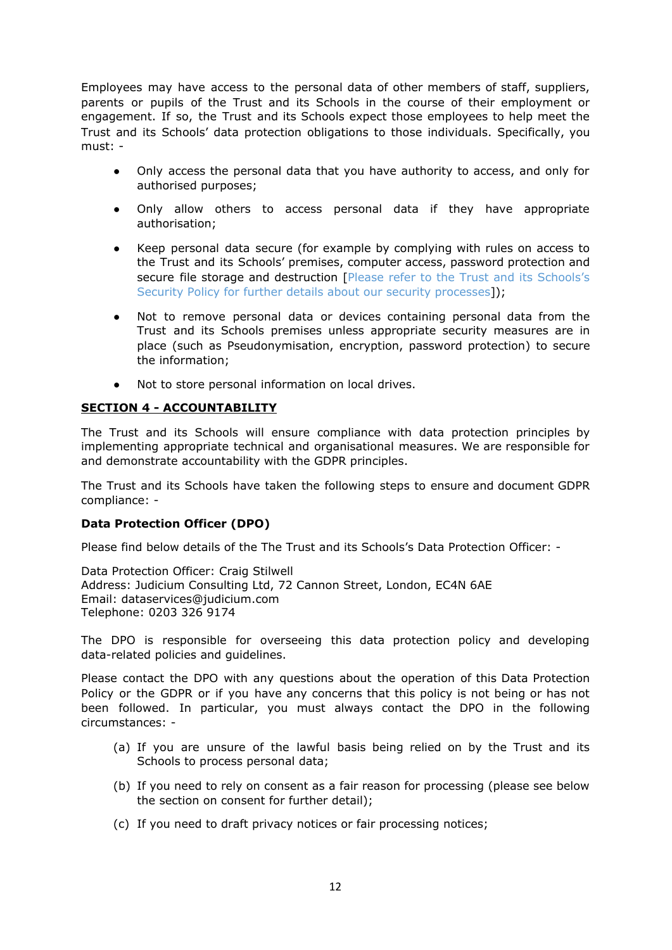Employees may have access to the personal data of other members of staff, suppliers, parents or pupils of the Trust and its Schools in the course of their employment or engagement. If so, the Trust and its Schools expect those employees to help meet the Trust and its Schools' data protection obligations to those individuals. Specifically, you must: -

- Only access the personal data that you have authority to access, and only for authorised purposes;
- Only allow others to access personal data if they have appropriate authorisation;
- Keep personal data secure (for example by complying with rules on access to the Trust and its Schools' premises, computer access, password protection and secure file storage and destruction [Please refer to the Trust and its Schools's Security Policy for further details about our security processes]);
- Not to remove personal data or devices containing personal data from the Trust and its Schools premises unless appropriate security measures are in place (such as Pseudonymisation, encryption, password protection) to secure the information;
- Not to store personal information on local drives.

# **SECTION 4 - ACCOUNTABILITY**

The Trust and its Schools will ensure compliance with data protection principles by implementing appropriate technical and organisational measures. We are responsible for and demonstrate accountability with the GDPR principles.

The Trust and its Schools have taken the following steps to ensure and document GDPR compliance: -

#### **Data Protection Officer (DPO)**

Please find below details of the The Trust and its Schools's Data Protection Officer: -

Data Protection Officer: Craig Stilwell Address: Judicium Consulting Ltd, 72 Cannon Street, London, EC4N 6AE Email: [dataservices@judicium.com](mailto:dataservices@judicium.com) Telephone: 0203 326 9174

The DPO is responsible for overseeing this data protection policy and developing data-related policies and guidelines.

Please contact the DPO with any questions about the operation of this Data Protection Policy or the GDPR or if you have any concerns that this policy is not being or has not been followed. In particular, you must always contact the DPO in the following circumstances: -

- (a) If you are unsure of the lawful basis being relied on by the Trust and its Schools to process personal data;
- (b) If you need to rely on consent as a fair reason for processing (please see below the section on consent for further detail);
- (c) If you need to draft privacy notices or fair processing notices;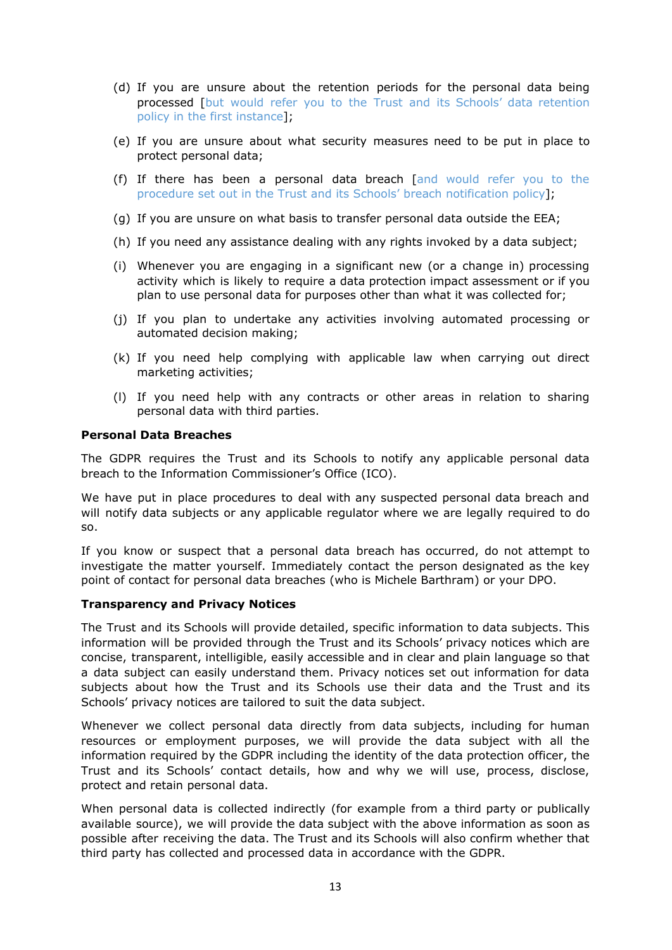- (d) If you are unsure about the retention periods for the personal data being processed [but would refer you to the Trust and its Schools' data retention policy in the first instance];
- (e) If you are unsure about what security measures need to be put in place to protect personal data;
- (f) If there has been a personal data breach [and would refer you to the procedure set out in the Trust and its Schools' breach notification policy];
- (g) If you are unsure on what basis to transfer personal data outside the EEA;
- (h) If you need any assistance dealing with any rights invoked by a data subject;
- (i) Whenever you are engaging in a significant new (or a change in) processing activity which is likely to require a data protection impact assessment or if you plan to use personal data for purposes other than what it was collected for;
- (j) If you plan to undertake any activities involving automated processing or automated decision making;
- (k) If you need help complying with applicable law when carrying out direct marketing activities;
- (l) If you need help with any contracts or other areas in relation to sharing personal data with third parties.

#### **Personal Data Breaches**

The GDPR requires the Trust and its Schools to notify any applicable personal data breach to the Information Commissioner's Office (ICO).

We have put in place procedures to deal with any suspected personal data breach and will notify data subjects or any applicable regulator where we are legally required to do so.

If you know or suspect that a personal data breach has occurred, do not attempt to investigate the matter yourself. Immediately contact the person designated as the key point of contact for personal data breaches (who is Michele Barthram) or your DPO.

#### **Transparency and Privacy Notices**

The Trust and its Schools will provide detailed, specific information to data subjects. This information will be provided through the Trust and its Schools' privacy notices which are concise, transparent, intelligible, easily accessible and in clear and plain language so that a data subject can easily understand them. Privacy notices set out information for data subjects about how the Trust and its Schools use their data and the Trust and its Schools' privacy notices are tailored to suit the data subject.

Whenever we collect personal data directly from data subjects, including for human resources or employment purposes, we will provide the data subject with all the information required by the GDPR including the identity of the data protection officer, the Trust and its Schools' contact details, how and why we will use, process, disclose, protect and retain personal data.

When personal data is collected indirectly (for example from a third party or publically available source), we will provide the data subject with the above information as soon as possible after receiving the data. The Trust and its Schools will also confirm whether that third party has collected and processed data in accordance with the GDPR.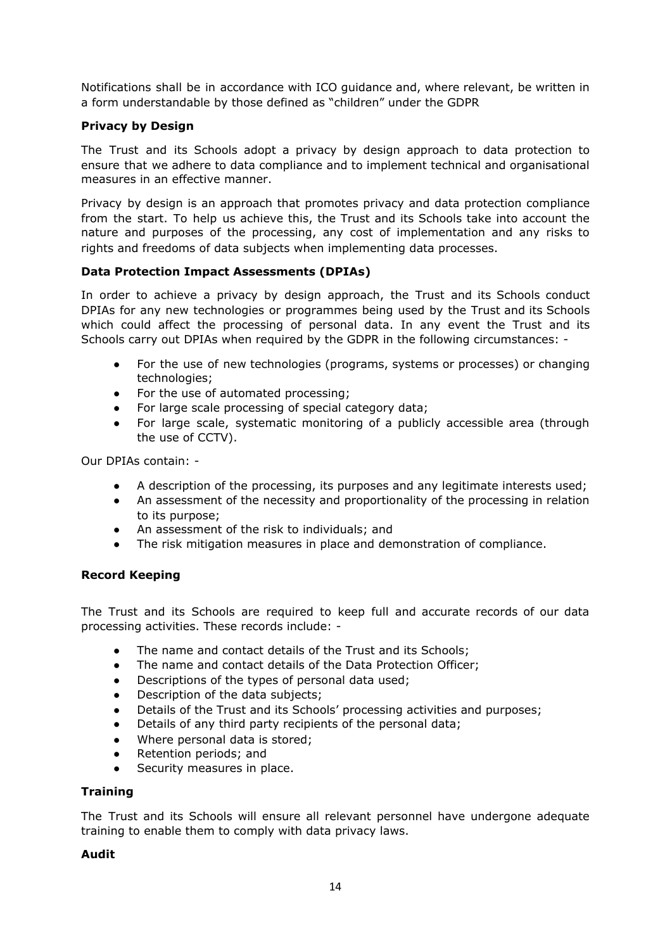Notifications shall be in accordance with ICO guidance and, where relevant, be written in a form understandable by those defined as "children" under the GDPR

# **Privacy by Design**

The Trust and its Schools adopt a privacy by design approach to data protection to ensure that we adhere to data compliance and to implement technical and organisational measures in an effective manner.

Privacy by design is an approach that promotes privacy and data protection compliance from the start. To help us achieve this, the Trust and its Schools take into account the nature and purposes of the processing, any cost of implementation and any risks to rights and freedoms of data subjects when implementing data processes.

# **Data Protection Impact Assessments (DPIAs)**

In order to achieve a privacy by design approach, the Trust and its Schools conduct DPIAs for any new technologies or programmes being used by the Trust and its Schools which could affect the processing of personal data. In any event the Trust and its Schools carry out DPIAs when required by the GDPR in the following circumstances: -

- For the use of new technologies (programs, systems or processes) or changing technologies;
- For the use of automated processing;
- For large scale processing of special category data;
- For large scale, systematic monitoring of a publicly accessible area (through the use of CCTV).

Our DPIAs contain: -

- A description of the processing, its purposes and any legitimate interests used;
- An assessment of the necessity and proportionality of the processing in relation to its purpose;
- An assessment of the risk to individuals; and
- The risk mitigation measures in place and demonstration of compliance.

# **Record Keeping**

The Trust and its Schools are required to keep full and accurate records of our data processing activities. These records include: -

- The name and contact details of the Trust and its Schools;
- The name and contact details of the Data Protection Officer;
- Descriptions of the types of personal data used;
- Description of the data subjects;
- Details of the Trust and its Schools' processing activities and purposes;
- Details of any third party recipients of the personal data;
- Where personal data is stored;
- Retention periods; and
- Security measures in place.

#### **Training**

The Trust and its Schools will ensure all relevant personnel have undergone adequate training to enable them to comply with data privacy laws.

#### **Audit**